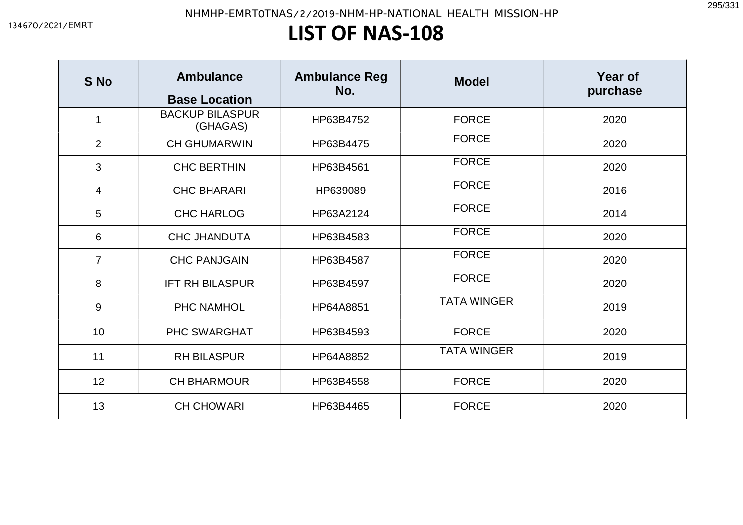## LIST OF NAS-108

| S No           | <b>Ambulance</b><br><b>Base Location</b> | <b>Ambulance Reg</b><br>No. | <b>Model</b>       | <b>Year of</b><br>purchase |
|----------------|------------------------------------------|-----------------------------|--------------------|----------------------------|
| 1              | <b>BACKUP BILASPUR</b><br>(GHAGAS)       | HP63B4752                   | <b>FORCE</b>       | 2020                       |
| $\overline{2}$ | <b>CH GHUMARWIN</b>                      | HP63B4475                   | <b>FORCE</b>       | 2020                       |
| 3              | <b>CHC BERTHIN</b>                       | HP63B4561                   | <b>FORCE</b>       | 2020                       |
| 4              | <b>CHC BHARARI</b>                       | HP639089                    | <b>FORCE</b>       | 2016                       |
| 5              | <b>CHC HARLOG</b>                        | HP63A2124                   | <b>FORCE</b>       | 2014                       |
| 6              | <b>CHC JHANDUTA</b>                      | HP63B4583                   | <b>FORCE</b>       | 2020                       |
| $\overline{7}$ | <b>CHC PANJGAIN</b>                      | HP63B4587                   | <b>FORCE</b>       | 2020                       |
| 8              | IFT RH BILASPUR                          | HP63B4597                   | <b>FORCE</b>       | 2020                       |
| 9              | <b>PHC NAMHOL</b>                        | HP64A8851                   | <b>TATA WINGER</b> | 2019                       |
| 10             | <b>PHC SWARGHAT</b>                      | HP63B4593                   | <b>FORCE</b>       | 2020                       |
| 11             | <b>RH BILASPUR</b>                       | HP64A8852                   | <b>TATA WINGER</b> | 2019                       |
| 12             | <b>CH BHARMOUR</b>                       | HP63B4558                   | <b>FORCE</b>       | 2020                       |
| 13             | <b>CH CHOWARI</b>                        | HP63B4465                   | <b>FORCE</b>       | 2020                       |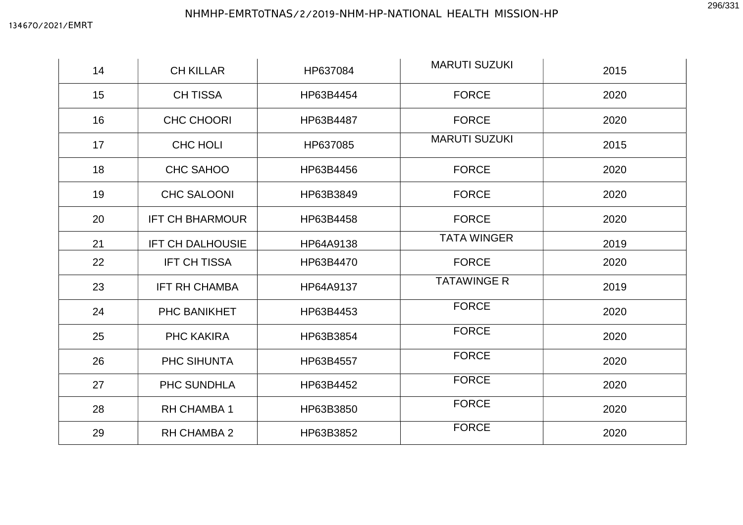| 14 | <b>CH KILLAR</b>        | HP637084  | <b>MARUTI SUZUKI</b> | 2015 |
|----|-------------------------|-----------|----------------------|------|
| 15 | <b>CH TISSA</b>         | HP63B4454 | <b>FORCE</b>         | 2020 |
| 16 | <b>CHC CHOORI</b>       | HP63B4487 | <b>FORCE</b>         | 2020 |
| 17 | <b>CHC HOLI</b>         | HP637085  | <b>MARUTI SUZUKI</b> | 2015 |
| 18 | CHC SAHOO               | HP63B4456 | <b>FORCE</b>         | 2020 |
| 19 | <b>CHC SALOONI</b>      | HP63B3849 | <b>FORCE</b>         | 2020 |
| 20 | <b>IFT CH BHARMOUR</b>  | HP63B4458 | <b>FORCE</b>         | 2020 |
| 21 | <b>IFT CH DALHOUSIE</b> | HP64A9138 | <b>TATA WINGER</b>   | 2019 |
| 22 | <b>IFT CH TISSA</b>     | HP63B4470 | <b>FORCE</b>         | 2020 |
| 23 | <b>IFT RH CHAMBA</b>    | HP64A9137 | <b>TATAWINGE R</b>   | 2019 |
| 24 | PHC BANIKHET            | HP63B4453 | <b>FORCE</b>         | 2020 |
| 25 | PHC KAKIRA              | HP63B3854 | <b>FORCE</b>         | 2020 |
| 26 | PHC SIHUNTA             | HP63B4557 | <b>FORCE</b>         | 2020 |
| 27 | PHC SUNDHLA             | HP63B4452 | <b>FORCE</b>         | 2020 |
| 28 | <b>RH CHAMBA1</b>       | HP63B3850 | <b>FORCE</b>         | 2020 |
| 29 | <b>RH CHAMBA 2</b>      | HP63B3852 | <b>FORCE</b>         | 2020 |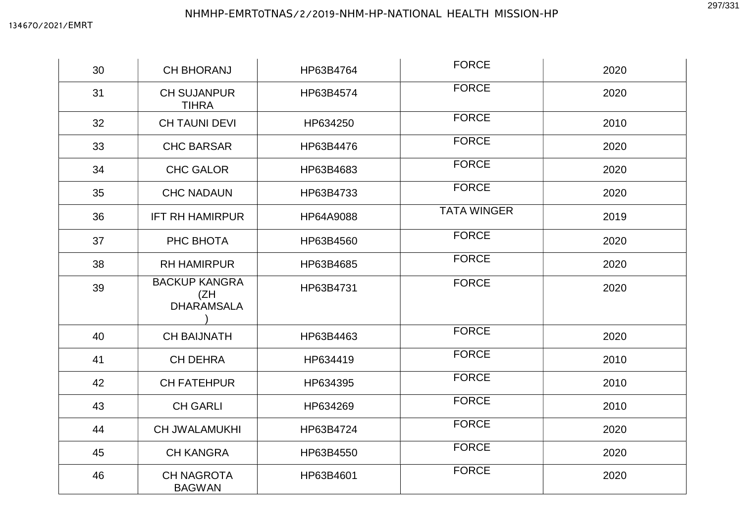| 30 | <b>CH BHORANJ</b>                                | HP63B4764 | <b>FORCE</b>       | 2020 |
|----|--------------------------------------------------|-----------|--------------------|------|
| 31 | <b>CH SUJANPUR</b><br><b>TIHRA</b>               | HP63B4574 | <b>FORCE</b>       | 2020 |
| 32 | <b>CH TAUNI DEVI</b>                             | HP634250  | <b>FORCE</b>       | 2010 |
| 33 | <b>CHC BARSAR</b>                                | HP63B4476 | <b>FORCE</b>       | 2020 |
| 34 | <b>CHC GALOR</b>                                 | HP63B4683 | <b>FORCE</b>       | 2020 |
| 35 | <b>CHC NADAUN</b>                                | HP63B4733 | <b>FORCE</b>       | 2020 |
| 36 | <b>IFT RH HAMIRPUR</b>                           | HP64A9088 | <b>TATA WINGER</b> | 2019 |
| 37 | PHC BHOTA                                        | HP63B4560 | <b>FORCE</b>       | 2020 |
| 38 | <b>RH HAMIRPUR</b>                               | HP63B4685 | <b>FORCE</b>       | 2020 |
| 39 | <b>BACKUP KANGRA</b><br>(ZH<br><b>DHARAMSALA</b> | HP63B4731 | <b>FORCE</b>       | 2020 |
| 40 | <b>CH BAIJNATH</b>                               | HP63B4463 | <b>FORCE</b>       | 2020 |
| 41 | <b>CH DEHRA</b>                                  | HP634419  | <b>FORCE</b>       | 2010 |
| 42 | <b>CH FATEHPUR</b>                               | HP634395  | <b>FORCE</b>       | 2010 |
| 43 | <b>CH GARLI</b>                                  | HP634269  | <b>FORCE</b>       | 2010 |
| 44 | <b>CH JWALAMUKHI</b>                             | HP63B4724 | <b>FORCE</b>       | 2020 |
| 45 | <b>CH KANGRA</b>                                 | HP63B4550 | <b>FORCE</b>       | 2020 |
| 46 | <b>CH NAGROTA</b><br><b>BAGWAN</b>               | HP63B4601 | <b>FORCE</b>       | 2020 |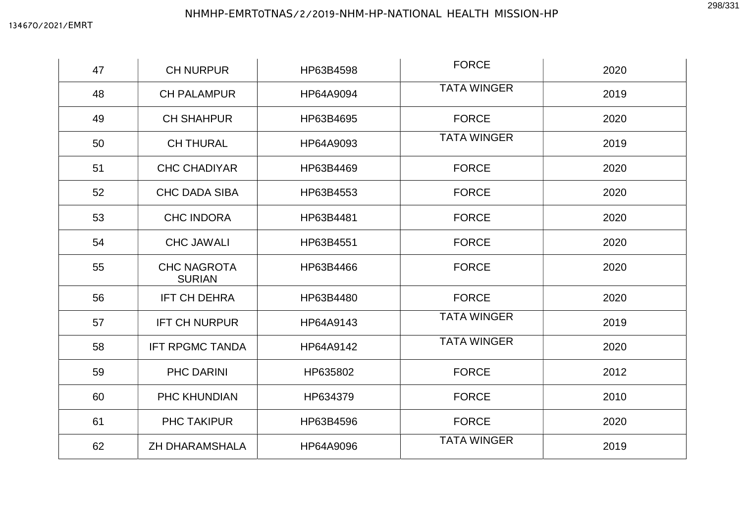| 47 | <b>CH NURPUR</b>                    | HP63B4598 | <b>FORCE</b>       | 2020 |
|----|-------------------------------------|-----------|--------------------|------|
| 48 | <b>CH PALAMPUR</b>                  | HP64A9094 | <b>TATA WINGER</b> |      |
| 49 | <b>CH SHAHPUR</b>                   | HP63B4695 | <b>FORCE</b>       | 2020 |
| 50 | <b>CH THURAL</b>                    | HP64A9093 | <b>TATA WINGER</b> | 2019 |
| 51 | <b>CHC CHADIYAR</b>                 | HP63B4469 | <b>FORCE</b>       | 2020 |
| 52 | <b>CHC DADA SIBA</b>                | HP63B4553 | <b>FORCE</b>       | 2020 |
| 53 | <b>CHC INDORA</b>                   | HP63B4481 | <b>FORCE</b>       | 2020 |
| 54 | <b>CHC JAWALI</b>                   | HP63B4551 | <b>FORCE</b>       | 2020 |
| 55 | <b>CHC NAGROTA</b><br><b>SURIAN</b> | HP63B4466 | <b>FORCE</b>       | 2020 |
| 56 | <b>IFT CH DEHRA</b>                 | HP63B4480 | <b>FORCE</b>       | 2020 |
| 57 | <b>IFT CH NURPUR</b>                | HP64A9143 | <b>TATA WINGER</b> | 2019 |
| 58 | <b>IFT RPGMC TANDA</b>              | HP64A9142 | <b>TATA WINGER</b> | 2020 |
| 59 | PHC DARINI                          | HP635802  | <b>FORCE</b>       | 2012 |
| 60 | <b>PHC KHUNDIAN</b>                 | HP634379  | <b>FORCE</b>       | 2010 |
| 61 | PHC TAKIPUR                         | HP63B4596 | <b>FORCE</b>       | 2020 |
| 62 | <b>ZH DHARAMSHALA</b>               | HP64A9096 | <b>TATA WINGER</b> | 2019 |

298/331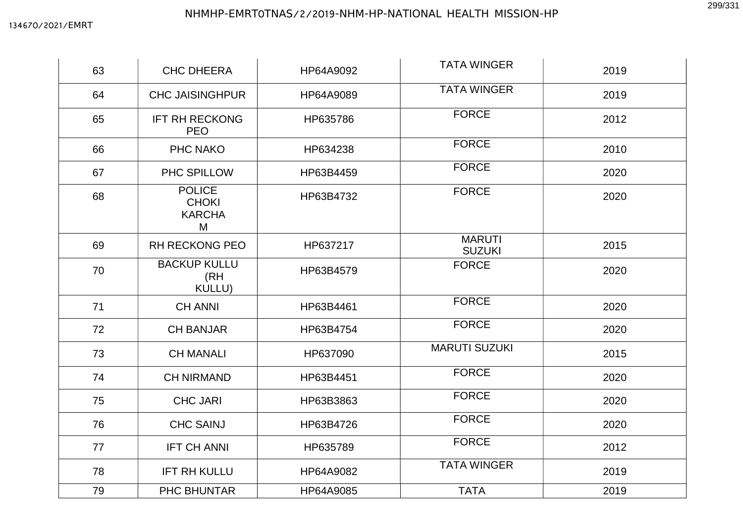| 63 | <b>CHC DHEERA</b>                                   | HP64A9092 | <b>TATA WINGER</b>             | 2019 |
|----|-----------------------------------------------------|-----------|--------------------------------|------|
| 64 | <b>CHC JAISINGHPUR</b>                              | HP64A9089 | <b>TATA WINGER</b>             | 2019 |
| 65 | <b>IFT RH RECKONG</b><br><b>PEO</b>                 | HP635786  | <b>FORCE</b>                   | 2012 |
| 66 | PHC NAKO                                            | HP634238  | <b>FORCE</b>                   | 2010 |
| 67 | PHC SPILLOW                                         | HP63B4459 | <b>FORCE</b>                   | 2020 |
| 68 | <b>POLICE</b><br><b>CHOKI</b><br><b>KARCHA</b><br>M | HP63B4732 | <b>FORCE</b>                   | 2020 |
| 69 | <b>RH RECKONG PEO</b>                               | HP637217  | <b>MARUTI</b><br><b>SUZUKI</b> | 2015 |
| 70 | <b>BACKUP KULLU</b><br>(RH<br>KULLU)                | HP63B4579 | <b>FORCE</b>                   | 2020 |
| 71 | <b>CH ANNI</b>                                      | HP63B4461 | <b>FORCE</b>                   | 2020 |
| 72 | <b>CH BANJAR</b>                                    | HP63B4754 | <b>FORCE</b>                   | 2020 |
| 73 | <b>CH MANALI</b>                                    | HP637090  | <b>MARUTI SUZUKI</b>           | 2015 |
| 74 | <b>CH NIRMAND</b>                                   | HP63B4451 | <b>FORCE</b>                   | 2020 |
| 75 | <b>CHC JARI</b>                                     | HP63B3863 | <b>FORCE</b>                   | 2020 |
| 76 | <b>CHC SAINJ</b>                                    | HP63B4726 | <b>FORCE</b>                   | 2020 |
| 77 | <b>IFT CH ANNI</b>                                  | HP635789  | <b>FORCE</b>                   | 2012 |
| 78 | <b>IFT RH KULLU</b>                                 | HP64A9082 | <b>TATA WINGER</b>             | 2019 |
| 79 | <b>PHC BHUNTAR</b>                                  | HP64A9085 | <b>TATA</b>                    | 2019 |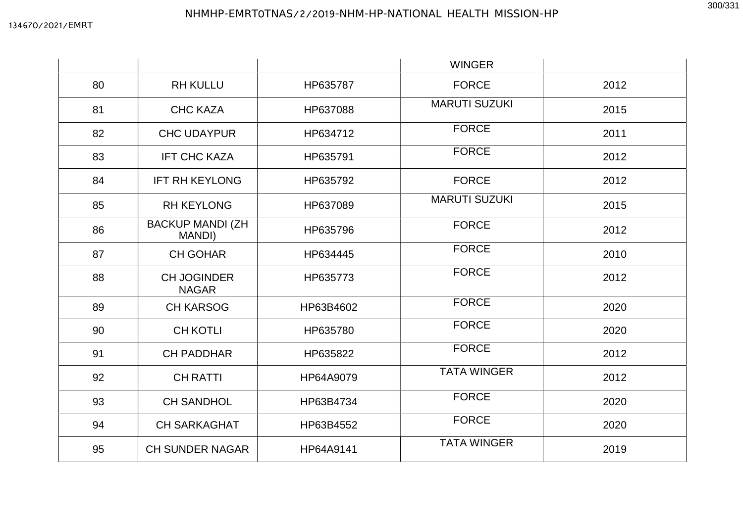|    |                                    |           | <b>WINGER</b>        |      |
|----|------------------------------------|-----------|----------------------|------|
| 80 | <b>RH KULLU</b>                    | HP635787  | <b>FORCE</b>         | 2012 |
| 81 | <b>CHC KAZA</b>                    | HP637088  | <b>MARUTI SUZUKI</b> | 2015 |
| 82 | <b>CHC UDAYPUR</b>                 | HP634712  | <b>FORCE</b>         | 2011 |
| 83 | <b>IFT CHC KAZA</b>                | HP635791  | <b>FORCE</b>         | 2012 |
| 84 | <b>IFT RH KEYLONG</b>              | HP635792  | <b>FORCE</b>         | 2012 |
| 85 | <b>RH KEYLONG</b>                  | HP637089  | <b>MARUTI SUZUKI</b> | 2015 |
| 86 | <b>BACKUP MANDI (ZH</b><br>MANDI)  | HP635796  | <b>FORCE</b>         | 2012 |
| 87 | <b>CH GOHAR</b>                    | HP634445  | <b>FORCE</b>         | 2010 |
| 88 | <b>CH JOGINDER</b><br><b>NAGAR</b> | HP635773  | <b>FORCE</b>         | 2012 |
| 89 | <b>CH KARSOG</b>                   | HP63B4602 | <b>FORCE</b>         | 2020 |
| 90 | <b>CH KOTLI</b>                    | HP635780  | <b>FORCE</b>         | 2020 |
| 91 | <b>CH PADDHAR</b>                  | HP635822  | <b>FORCE</b>         | 2012 |
| 92 | <b>CH RATTI</b>                    | HP64A9079 | <b>TATA WINGER</b>   | 2012 |
| 93 | <b>CH SANDHOL</b>                  | HP63B4734 | <b>FORCE</b>         | 2020 |
| 94 | <b>CH SARKAGHAT</b>                | HP63B4552 | <b>FORCE</b>         | 2020 |
| 95 | <b>CH SUNDER NAGAR</b>             | HP64A9141 | <b>TATA WINGER</b>   | 2019 |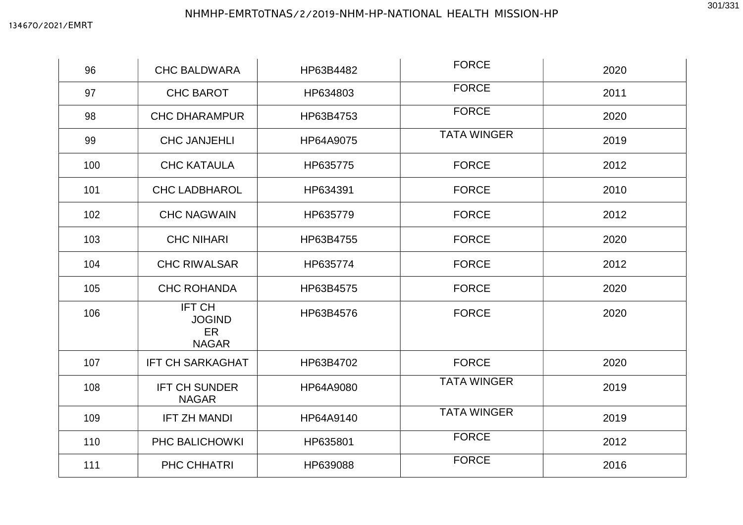| 96  | <b>CHC BALDWARA</b>                                  | HP63B4482 | <b>FORCE</b>       | 2020 |
|-----|------------------------------------------------------|-----------|--------------------|------|
| 97  | <b>CHC BAROT</b>                                     | HP634803  | <b>FORCE</b>       | 2011 |
| 98  | <b>CHC DHARAMPUR</b>                                 | HP63B4753 | <b>FORCE</b>       | 2020 |
| 99  | <b>CHC JANJEHLI</b>                                  | HP64A9075 | <b>TATA WINGER</b> | 2019 |
| 100 | <b>CHC KATAULA</b>                                   | HP635775  | <b>FORCE</b>       | 2012 |
| 101 | <b>CHC LADBHAROL</b>                                 | HP634391  | <b>FORCE</b>       | 2010 |
| 102 | <b>CHC NAGWAIN</b>                                   | HP635779  | <b>FORCE</b>       | 2012 |
| 103 | <b>CHC NIHARI</b>                                    | HP63B4755 | <b>FORCE</b>       | 2020 |
| 104 | <b>CHC RIWALSAR</b>                                  | HP635774  | <b>FORCE</b>       | 2012 |
| 105 | <b>CHC ROHANDA</b>                                   | HP63B4575 | <b>FORCE</b>       | 2020 |
| 106 | <b>IFT CH</b><br><b>JOGIND</b><br>ER<br><b>NAGAR</b> | HP63B4576 | <b>FORCE</b>       | 2020 |
| 107 | <b>IFT CH SARKAGHAT</b>                              | HP63B4702 | <b>FORCE</b>       | 2020 |
| 108 | <b>IFT CH SUNDER</b><br><b>NAGAR</b>                 | HP64A9080 | <b>TATA WINGER</b> | 2019 |
| 109 | <b>IFT ZH MANDI</b>                                  | HP64A9140 | <b>TATA WINGER</b> | 2019 |
| 110 | PHC BALICHOWKI                                       | HP635801  | <b>FORCE</b>       | 2012 |
| 111 | PHC CHHATRI                                          | HP639088  | <b>FORCE</b>       | 2016 |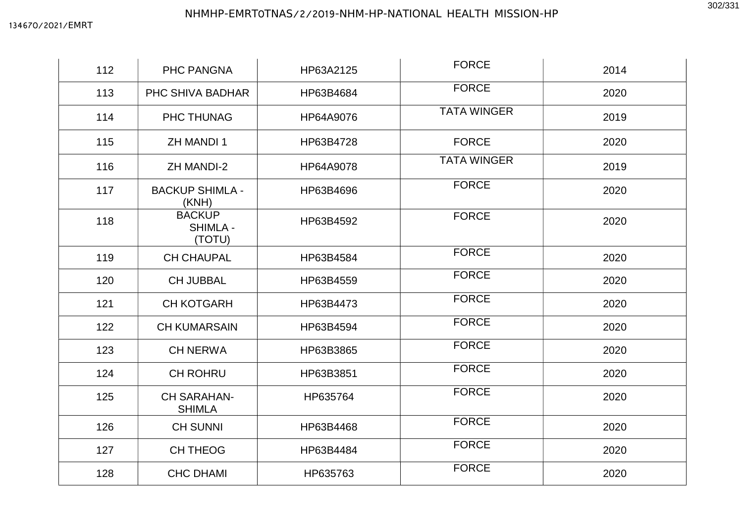| 112 | PHC PANGNA                                 | HP63A2125 | <b>FORCE</b>       | 2014 |
|-----|--------------------------------------------|-----------|--------------------|------|
| 113 | PHC SHIVA BADHAR                           | HP63B4684 | <b>FORCE</b>       | 2020 |
| 114 | PHC THUNAG                                 | HP64A9076 | <b>TATA WINGER</b> | 2019 |
| 115 | <b>ZH MANDI1</b>                           | HP63B4728 | <b>FORCE</b>       | 2020 |
| 116 | <b>ZH MANDI-2</b>                          | HP64A9078 | <b>TATA WINGER</b> | 2019 |
| 117 | <b>BACKUP SHIMLA -</b><br>(KNH)            | HP63B4696 | <b>FORCE</b>       | 2020 |
| 118 | <b>BACKUP</b><br><b>SHIMLA -</b><br>(TOTU) | HP63B4592 | <b>FORCE</b>       | 2020 |
| 119 | <b>CH CHAUPAL</b>                          | HP63B4584 | <b>FORCE</b>       | 2020 |
| 120 | <b>CH JUBBAL</b>                           | HP63B4559 | <b>FORCE</b>       | 2020 |
| 121 | <b>CH KOTGARH</b>                          | HP63B4473 | <b>FORCE</b>       | 2020 |
| 122 | <b>CH KUMARSAIN</b>                        | HP63B4594 | <b>FORCE</b>       | 2020 |
| 123 | <b>CH NERWA</b>                            | HP63B3865 | <b>FORCE</b>       | 2020 |
| 124 | <b>CH ROHRU</b>                            | HP63B3851 | <b>FORCE</b>       | 2020 |
| 125 | <b>CH SARAHAN-</b><br><b>SHIMLA</b>        | HP635764  | <b>FORCE</b>       | 2020 |
| 126 | <b>CH SUNNI</b>                            | HP63B4468 | <b>FORCE</b>       | 2020 |
| 127 | <b>CH THEOG</b>                            | HP63B4484 | <b>FORCE</b>       | 2020 |
| 128 | <b>CHC DHAMI</b>                           | HP635763  | <b>FORCE</b>       | 2020 |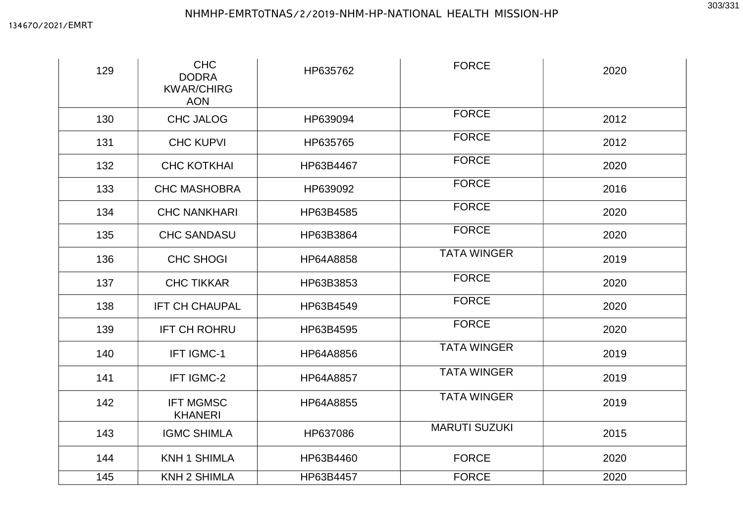| 129 | <b>CHC</b><br><b>DODRA</b><br><b>KWAR/CHIRG</b><br><b>AON</b> | HP635762  | <b>FORCE</b>         | 2020 |
|-----|---------------------------------------------------------------|-----------|----------------------|------|
| 130 | <b>CHC JALOG</b>                                              | HP639094  | <b>FORCE</b>         | 2012 |
| 131 | <b>CHC KUPVI</b>                                              | HP635765  | <b>FORCE</b>         | 2012 |
| 132 | <b>CHC KOTKHAI</b>                                            | HP63B4467 | <b>FORCE</b>         | 2020 |
| 133 | <b>CHC MASHOBRA</b>                                           | HP639092  | <b>FORCE</b>         | 2016 |
| 134 | <b>CHC NANKHARI</b>                                           | HP63B4585 | <b>FORCE</b>         | 2020 |
| 135 | <b>CHC SANDASU</b>                                            | HP63B3864 | <b>FORCE</b>         | 2020 |
| 136 | <b>CHC SHOGI</b>                                              | HP64A8858 | <b>TATA WINGER</b>   | 2019 |
| 137 | <b>CHC TIKKAR</b>                                             | HP63B3853 | <b>FORCE</b>         | 2020 |
| 138 | <b>IFT CH CHAUPAL</b>                                         | HP63B4549 | <b>FORCE</b>         | 2020 |
| 139 | <b>IFT CH ROHRU</b>                                           | HP63B4595 | <b>FORCE</b>         | 2020 |
| 140 | IFT IGMC-1                                                    | HP64A8856 | <b>TATA WINGER</b>   | 2019 |
| 141 | IFT IGMC-2                                                    | HP64A8857 | <b>TATA WINGER</b>   | 2019 |
| 142 | <b>IFT MGMSC</b><br><b>KHANERI</b>                            | HP64A8855 | <b>TATA WINGER</b>   | 2019 |
| 143 | <b>IGMC SHIMLA</b>                                            | HP637086  | <b>MARUTI SUZUKI</b> | 2015 |
| 144 | <b>KNH 1 SHIMLA</b>                                           | HP63B4460 | <b>FORCE</b>         | 2020 |
| 145 | <b>KNH 2 SHIMLA</b>                                           | HP63B4457 | <b>FORCE</b>         | 2020 |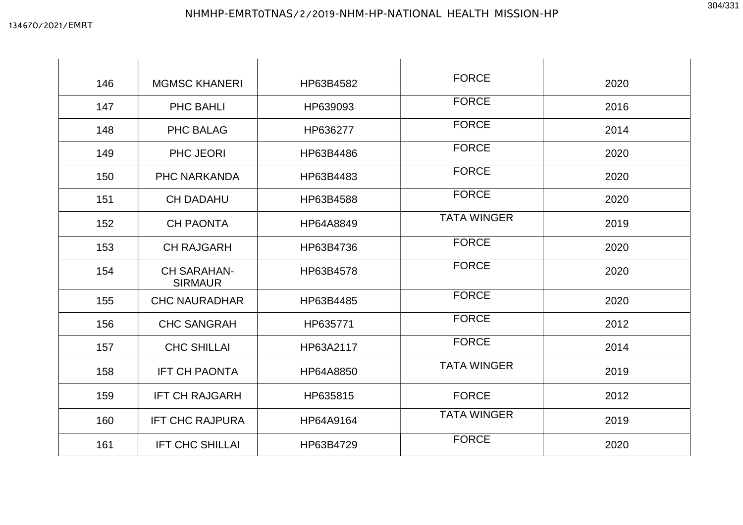|  |  | 304/331 |
|--|--|---------|
|  |  |         |

| 146 | <b>MGMSC KHANERI</b>                 | HP63B4582 | <b>FORCE</b>       | 2020 |
|-----|--------------------------------------|-----------|--------------------|------|
| 147 | PHC BAHLI                            | HP639093  | <b>FORCE</b>       | 2016 |
| 148 | <b>PHC BALAG</b>                     | HP636277  | <b>FORCE</b>       | 2014 |
| 149 | PHC JEORI                            | HP63B4486 | <b>FORCE</b>       | 2020 |
| 150 | PHC NARKANDA                         | HP63B4483 | <b>FORCE</b>       | 2020 |
| 151 | <b>CH DADAHU</b>                     | HP63B4588 | <b>FORCE</b>       | 2020 |
| 152 | <b>CH PAONTA</b>                     | HP64A8849 | <b>TATA WINGER</b> | 2019 |
| 153 | <b>CH RAJGARH</b>                    | HP63B4736 | <b>FORCE</b>       | 2020 |
| 154 | <b>CH SARAHAN-</b><br><b>SIRMAUR</b> | HP63B4578 | <b>FORCE</b>       | 2020 |
| 155 | <b>CHC NAURADHAR</b>                 | HP63B4485 | <b>FORCE</b>       | 2020 |
| 156 | <b>CHC SANGRAH</b>                   | HP635771  | <b>FORCE</b>       | 2012 |
| 157 | <b>CHC SHILLAI</b>                   | HP63A2117 | <b>FORCE</b>       | 2014 |
| 158 | <b>IFT CH PAONTA</b>                 | HP64A8850 | <b>TATA WINGER</b> | 2019 |
| 159 | <b>IFT CH RAJGARH</b>                | HP635815  | <b>FORCE</b>       | 2012 |
| 160 | <b>IFT CHC RAJPURA</b>               | HP64A9164 | <b>TATA WINGER</b> | 2019 |
| 161 | <b>IFT CHC SHILLAI</b>               | HP63B4729 | <b>FORCE</b>       | 2020 |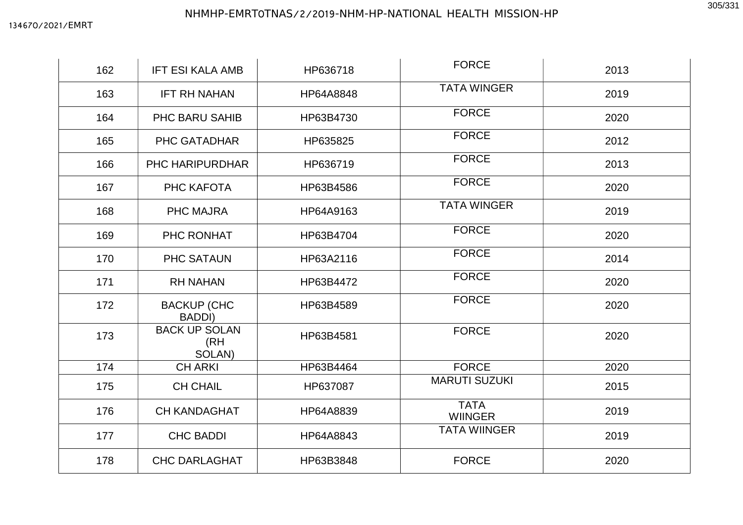| 162 | <b>IFT ESI KALA AMB</b>               | HP636718  | <b>FORCE</b>                  | 2013 |
|-----|---------------------------------------|-----------|-------------------------------|------|
| 163 | <b>IFT RH NAHAN</b>                   | HP64A8848 | <b>TATA WINGER</b>            | 2019 |
| 164 | PHC BARU SAHIB                        | HP63B4730 | <b>FORCE</b>                  | 2020 |
| 165 | PHC GATADHAR                          | HP635825  | <b>FORCE</b>                  | 2012 |
| 166 | <b>PHC HARIPURDHAR</b>                | HP636719  | <b>FORCE</b>                  | 2013 |
| 167 | PHC KAFOTA                            | HP63B4586 | <b>FORCE</b>                  | 2020 |
| 168 | <b>PHC MAJRA</b>                      | HP64A9163 | <b>TATA WINGER</b>            | 2019 |
| 169 | PHC RONHAT                            | HP63B4704 | <b>FORCE</b>                  | 2020 |
| 170 | <b>PHC SATAUN</b>                     | HP63A2116 | <b>FORCE</b>                  | 2014 |
| 171 | <b>RH NAHAN</b>                       | HP63B4472 | <b>FORCE</b>                  | 2020 |
| 172 | <b>BACKUP (CHC)</b><br><b>BADDI)</b>  | HP63B4589 | <b>FORCE</b>                  | 2020 |
| 173 | <b>BACK UP SOLAN</b><br>(RH<br>SOLAN) | HP63B4581 | <b>FORCE</b>                  | 2020 |
| 174 | <b>CH ARKI</b>                        | HP63B4464 | <b>FORCE</b>                  | 2020 |
| 175 | <b>CH CHAIL</b>                       | HP637087  | <b>MARUTI SUZUKI</b>          | 2015 |
| 176 | <b>CH KANDAGHAT</b>                   | HP64A8839 | <b>TATA</b><br><b>WIINGER</b> | 2019 |
| 177 | <b>CHC BADDI</b>                      | HP64A8843 | <b>TATA WIINGER</b>           | 2019 |
| 178 | <b>CHC DARLAGHAT</b>                  | HP63B3848 | <b>FORCE</b>                  | 2020 |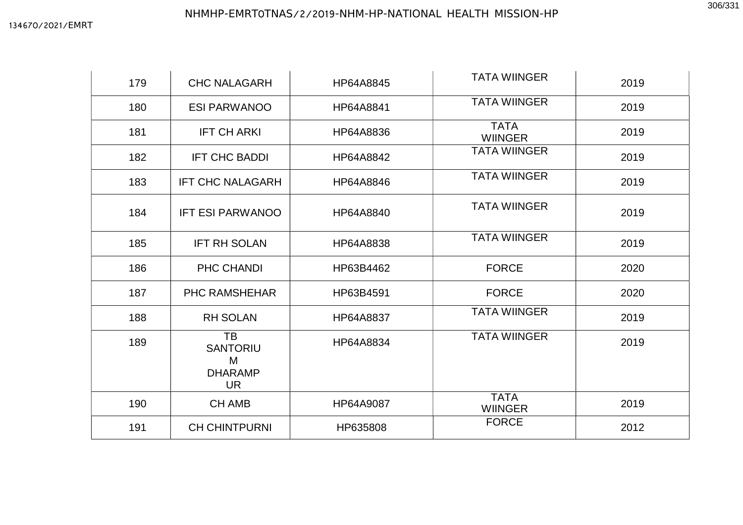## NHMHP-EMRT0TNAS/2/2019-NHM-HP-NATIONAL HEALTH MISSION-HP

| 179 | <b>CHC NALAGARH</b>                                              | HP64A8845 | <b>TATA WIINGER</b>           | 2019 |
|-----|------------------------------------------------------------------|-----------|-------------------------------|------|
| 180 | <b>ESI PARWANOO</b>                                              | HP64A8841 | <b>TATA WIINGER</b>           | 2019 |
| 181 | <b>IFT CH ARKI</b>                                               | HP64A8836 | <b>TATA</b><br><b>WIINGER</b> | 2019 |
| 182 | <b>IFT CHC BADDI</b>                                             | HP64A8842 | <b>TATA WIINGER</b>           | 2019 |
| 183 | <b>IFT CHC NALAGARH</b>                                          | HP64A8846 | <b>TATA WIINGER</b>           | 2019 |
| 184 | <b>IFT ESI PARWANOO</b>                                          | HP64A8840 | <b>TATA WIINGER</b>           | 2019 |
| 185 | <b>IFT RH SOLAN</b>                                              | HP64A8838 | <b>TATA WIINGER</b>           | 2019 |
| 186 | PHC CHANDI                                                       | HP63B4462 | <b>FORCE</b>                  | 2020 |
| 187 | <b>PHC RAMSHEHAR</b>                                             | HP63B4591 | <b>FORCE</b>                  | 2020 |
| 188 | <b>RH SOLAN</b>                                                  | HP64A8837 | <b>TATA WIINGER</b>           | 2019 |
| 189 | <b>TB</b><br><b>SANTORIU</b><br>M<br><b>DHARAMP</b><br><b>UR</b> | HP64A8834 | <b>TATA WIINGER</b>           | 2019 |
| 190 | <b>CH AMB</b>                                                    | HP64A9087 | <b>TATA</b><br><b>WIINGER</b> | 2019 |
| 191 | <b>CH CHINTPURNI</b>                                             | HP635808  | <b>FORCE</b>                  | 2012 |